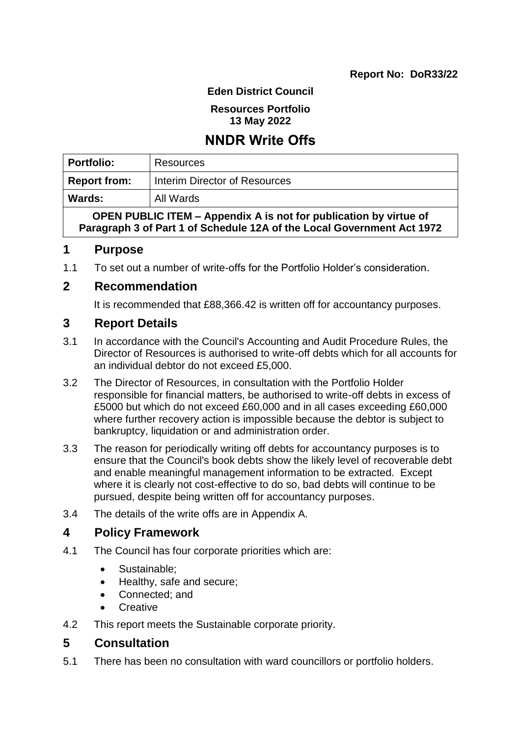#### **Eden District Council**

#### **Resources Portfolio 13 May 2022**

# **NNDR Write Offs**

| <b>Portfolio:</b>                                                 | Resources                     |  |
|-------------------------------------------------------------------|-------------------------------|--|
| <b>Report from:</b>                                               | Interim Director of Resources |  |
| Wards:                                                            | All Wards                     |  |
| OPEN PUBLIC ITEM - Appendix A is not for publication by virtue of |                               |  |

**Paragraph 3 of Part 1 of Schedule 12A of the Local Government Act 1972**

## **1 Purpose**

1.1 To set out a number of write-offs for the Portfolio Holder's consideration.

## **2 Recommendation**

It is recommended that £88,366.42 is written off for accountancy purposes.

## **3 Report Details**

- 3.1 In accordance with the Council's Accounting and Audit Procedure Rules, the Director of Resources is authorised to write-off debts which for all accounts for an individual debtor do not exceed £5,000.
- 3.2 The Director of Resources, in consultation with the Portfolio Holder responsible for financial matters, be authorised to write-off debts in excess of £5000 but which do not exceed £60,000 and in all cases exceeding £60,000 where further recovery action is impossible because the debtor is subject to bankruptcy, liquidation or and administration order.
- 3.3 The reason for periodically writing off debts for accountancy purposes is to ensure that the Council's book debts show the likely level of recoverable debt and enable meaningful management information to be extracted. Except where it is clearly not cost-effective to do so, bad debts will continue to be pursued, despite being written off for accountancy purposes.
- 3.4 The details of the write offs are in Appendix A.

## **4 Policy Framework**

- 4.1 The Council has four corporate priorities which are:
	- Sustainable:
	- Healthy, safe and secure;
	- Connected; and
	- **Creative**
- 4.2 This report meets the Sustainable corporate priority.

## **5 Consultation**

5.1 There has been no consultation with ward councillors or portfolio holders.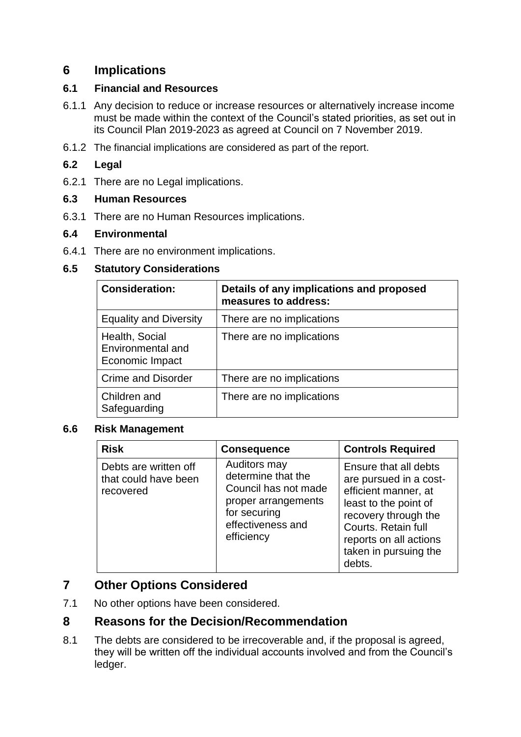## **6 Implications**

#### **6.1 Financial and Resources**

- 6.1.1 Any decision to reduce or increase resources or alternatively increase income must be made within the context of the Council's stated priorities, as set out in its Council Plan 2019-2023 as agreed at Council on 7 November 2019.
- 6.1.2 The financial implications are considered as part of the report.

#### **6.2 Legal**

6.2.1 There are no Legal implications.

#### **6.3 Human Resources**

6.3.1 There are no Human Resources implications.

#### **6.4 Environmental**

6.4.1 There are no environment implications.

#### **6.5 Statutory Considerations**

| <b>Consideration:</b>                                  | Details of any implications and proposed<br>measures to address: |
|--------------------------------------------------------|------------------------------------------------------------------|
| <b>Equality and Diversity</b>                          | There are no implications                                        |
| Health, Social<br>Environmental and<br>Economic Impact | There are no implications                                        |
| <b>Crime and Disorder</b>                              | There are no implications                                        |
| Children and<br>Safeguarding                           | There are no implications                                        |

#### **6.6 Risk Management**

| <b>Risk</b>                                                | <b>Consequence</b>                                                                                                                   | <b>Controls Required</b>                                                                                                                                                                                     |
|------------------------------------------------------------|--------------------------------------------------------------------------------------------------------------------------------------|--------------------------------------------------------------------------------------------------------------------------------------------------------------------------------------------------------------|
| Debts are written off<br>that could have been<br>recovered | Auditors may<br>determine that the<br>Council has not made<br>proper arrangements<br>for securing<br>effectiveness and<br>efficiency | Ensure that all debts<br>are pursued in a cost-<br>efficient manner, at<br>least to the point of<br>recovery through the<br>Courts. Retain full<br>reports on all actions<br>taken in pursuing the<br>debts. |

## **7 Other Options Considered**

7.1 No other options have been considered.

## **8 Reasons for the Decision/Recommendation**

8.1 The debts are considered to be irrecoverable and, if the proposal is agreed, they will be written off the individual accounts involved and from the Council's ledger.